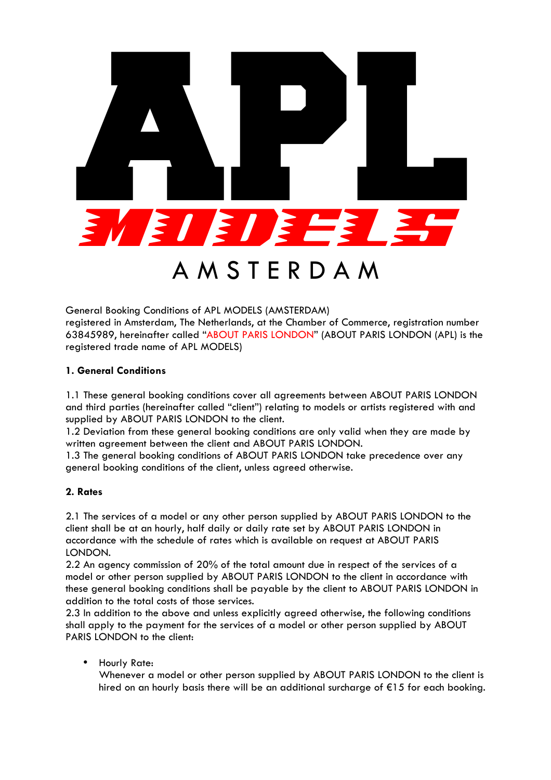

General Booking Conditions of APL MODELS (AMSTERDAM) registered in Amsterdam, The Netherlands, at the Chamber of Commerce, registration number 63845989, hereinafter called "ABOUT PARIS LONDON" (ABOUT PARIS LONDON (APL) is the registered trade name of APL MODELS)

### **1. General Conditions**

1.1 These general booking conditions cover all agreements between ABOUT PARIS LONDON and third parties (hereinafter called "client") relating to models or artists registered with and supplied by ABOUT PARIS LONDON to the client.

1.2 Deviation from these general booking conditions are only valid when they are made by written agreement between the client and ABOUT PARIS LONDON.

1.3 The general booking conditions of ABOUT PARIS LONDON take precedence over any general booking conditions of the client, unless agreed otherwise.

#### **2. Rates**

2.1 The services of a model or any other person supplied by ABOUT PARIS LONDON to the client shall be at an hourly, half daily or daily rate set by ABOUT PARIS LONDON in accordance with the schedule of rates which is available on request at ABOUT PARIS LONDON.

2.2 An agency commission of 20% of the total amount due in respect of the services of a model or other person supplied by ABOUT PARIS LONDON to the client in accordance with these general booking conditions shall be payable by the client to ABOUT PARIS LONDON in addition to the total costs of those services.

2.3 In addition to the above and unless explicitly agreed otherwise, the following conditions shall apply to the payment for the services of a model or other person supplied by ABOUT PARIS LONDON to the client:

• Hourly Rate:

Whenever a model or other person supplied by ABOUT PARIS LONDON to the client is hired on an hourly basis there will be an additional surcharge of €15 for each booking.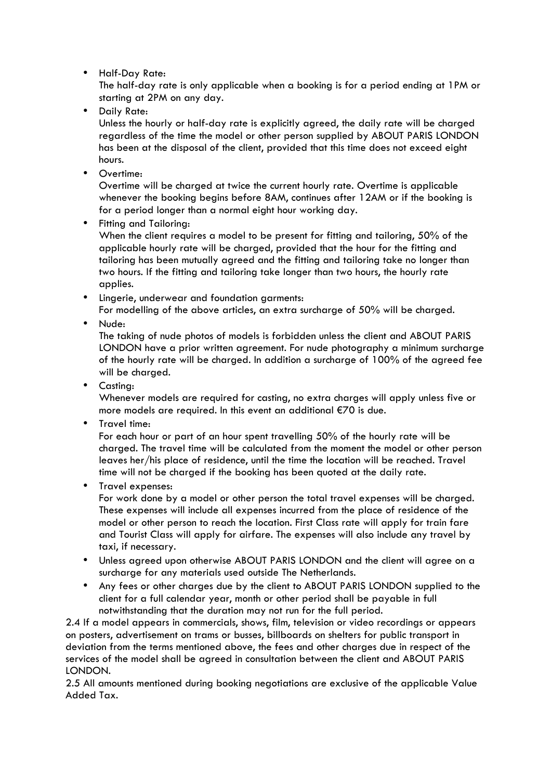• Half-Day Rate:

The half-day rate is only applicable when a booking is for a period ending at 1PM or starting at 2PM on any day.

• Daily Rate:

Unless the hourly or half-day rate is explicitly agreed, the daily rate will be charged regardless of the time the model or other person supplied by ABOUT PARIS LONDON has been at the disposal of the client, provided that this time does not exceed eight hours.

• Overtime:

Overtime will be charged at twice the current hourly rate. Overtime is applicable whenever the booking begins before 8AM, continues after 12AM or if the booking is for a period longer than a normal eight hour working day.

• Fitting and Tailoring:

When the client requires a model to be present for fitting and tailoring, 50% of the applicable hourly rate will be charged, provided that the hour for the fitting and tailoring has been mutually agreed and the fitting and tailoring take no longer than two hours. If the fitting and tailoring take longer than two hours, the hourly rate applies.

- Lingerie, underwear and foundation garments: For modelling of the above articles, an extra surcharge of 50% will be charged.
- Nude:

The taking of nude photos of models is forbidden unless the client and ABOUT PARIS LONDON have a prior written agreement. For nude photography a minimum surcharge of the hourly rate will be charged. In addition a surcharge of 100% of the agreed fee will be charged.

• Casting:

Whenever models are required for casting, no extra charges will apply unless five or more models are required. In this event an additional €70 is due.

• Travel time:

For each hour or part of an hour spent travelling 50% of the hourly rate will be charged. The travel time will be calculated from the moment the model or other person leaves her/his place of residence, until the time the location will be reached. Travel time will not be charged if the booking has been quoted at the daily rate.

• Travel expenses:

For work done by a model or other person the total travel expenses will be charged. These expenses will include all expenses incurred from the place of residence of the model or other person to reach the location. First Class rate will apply for train fare and Tourist Class will apply for airfare. The expenses will also include any travel by taxi, if necessary.

- Unless agreed upon otherwise ABOUT PARIS LONDON and the client will agree on a surcharge for any materials used outside The Netherlands.
- Any fees or other charges due by the client to ABOUT PARIS LONDON supplied to the client for a full calendar year, month or other period shall be payable in full notwithstanding that the duration may not run for the full period.

2.4 If a model appears in commercials, shows, film, television or video recordings or appears on posters, advertisement on trams or busses, billboards on shelters for public transport in deviation from the terms mentioned above, the fees and other charges due in respect of the services of the model shall be agreed in consultation between the client and ABOUT PARIS LONDON.

2.5 All amounts mentioned during booking negotiations are exclusive of the applicable Value Added Tax.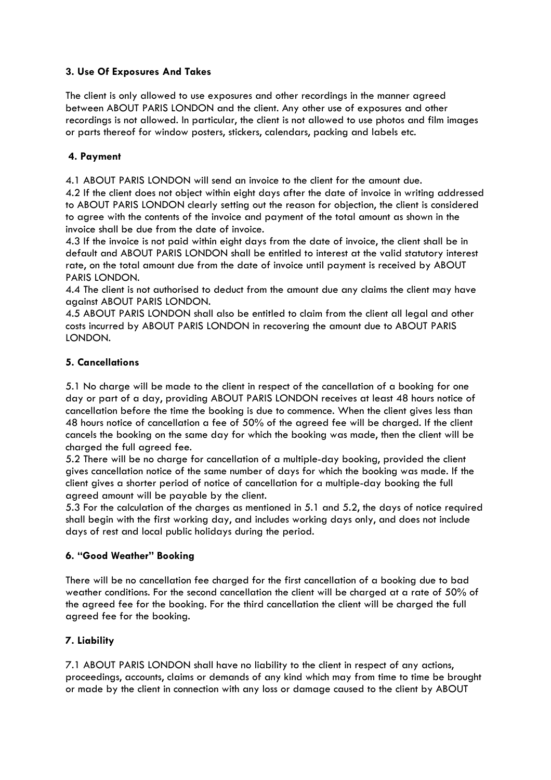# **3. Use Of Exposures And Takes**

The client is only allowed to use exposures and other recordings in the manner agreed between ABOUT PARIS LONDON and the client. Any other use of exposures and other recordings is not allowed. In particular, the client is not allowed to use photos and film images or parts thereof for window posters, stickers, calendars, packing and labels etc.

# **4. Payment**

4.1 ABOUT PARIS LONDON will send an invoice to the client for the amount due.

4.2 If the client does not object within eight days after the date of invoice in writing addressed to ABOUT PARIS LONDON clearly setting out the reason for objection, the client is considered to agree with the contents of the invoice and payment of the total amount as shown in the invoice shall be due from the date of invoice.

4.3 If the invoice is not paid within eight days from the date of invoice, the client shall be in default and ABOUT PARIS LONDON shall be entitled to interest at the valid statutory interest rate, on the total amount due from the date of invoice until payment is received by ABOUT PARIS LONDON.

4.4 The client is not authorised to deduct from the amount due any claims the client may have against ABOUT PARIS LONDON.

4.5 ABOUT PARIS LONDON shall also be entitled to claim from the client all legal and other costs incurred by ABOUT PARIS LONDON in recovering the amount due to ABOUT PARIS LONDON.

### **5. Cancellations**

5.1 No charge will be made to the client in respect of the cancellation of a booking for one day or part of a day, providing ABOUT PARIS LONDON receives at least 48 hours notice of cancellation before the time the booking is due to commence. When the client gives less than 48 hours notice of cancellation a fee of 50% of the agreed fee will be charged. If the client cancels the booking on the same day for which the booking was made, then the client will be charged the full agreed fee.

5.2 There will be no charge for cancellation of a multiple-day booking, provided the client gives cancellation notice of the same number of days for which the booking was made. If the client gives a shorter period of notice of cancellation for a multiple-day booking the full agreed amount will be payable by the client.

5.3 For the calculation of the charges as mentioned in 5.1 and 5.2, the days of notice required shall begin with the first working day, and includes working days only, and does not include days of rest and local public holidays during the period.

### **6. "Good Weather" Booking**

There will be no cancellation fee charged for the first cancellation of a booking due to bad weather conditions. For the second cancellation the client will be charged at a rate of 50% of the agreed fee for the booking. For the third cancellation the client will be charged the full agreed fee for the booking.

### **7. Liability**

7.1 ABOUT PARIS LONDON shall have no liability to the client in respect of any actions, proceedings, accounts, claims or demands of any kind which may from time to time be brought or made by the client in connection with any loss or damage caused to the client by ABOUT